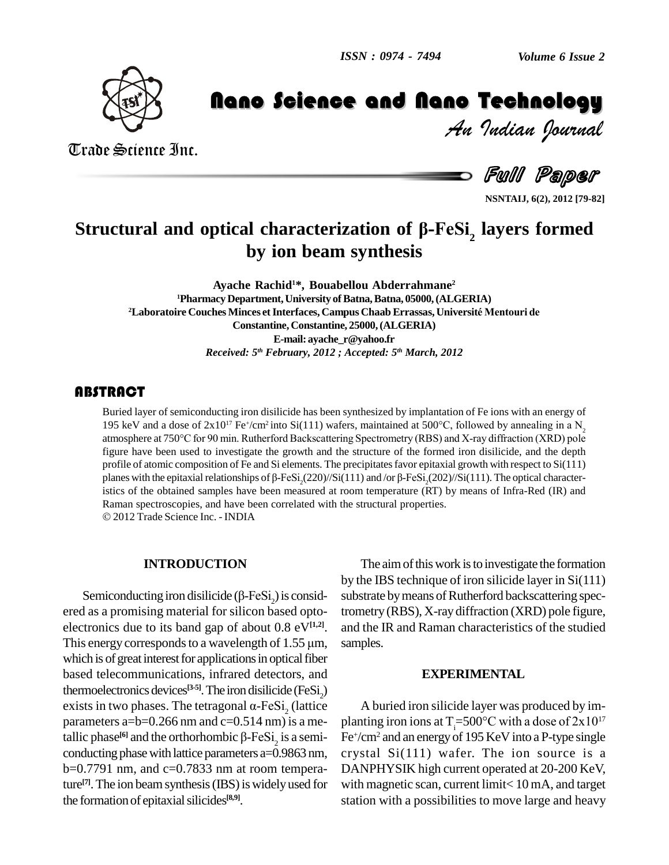

# *Volume 6 Issue 2*<br>**Technology**<br>*Indian Pournal*

Hand Constant Constant Constant Constant Constant Constant Constant Constant Constant Constant Constant Constant<br>Full Paper

Trade Science Inc. Trade Science Inc.

**NSNTAIJ, 6(2), 2012 [79-82]**

# *Structural and optical characterization of β-FeSi<sub>2</sub> layers formed* **by ion beam synthesis**

**Ayache Rachid <sup>1</sup>\*, Bouabellou Abderrahmane 2** <sup>1</sup>**Pharmacy Department, University of Batna, Batna, 05000, (ALGERIA) <sup>2</sup>Laboratoire Couches Minces etInterfaces, Campus Chaab Errassas, Universit<sup>È</sup> Mentouri de Constantine, Constantine, 25000,(ALGERIA) E-mail: [ayache\\_r@yahoo.fr](mailto:ayache_r@yahoo.fr)** *Received: 5 th February, 2012 ; Accepted: 5 th March, 2012*

Buried layer of semiconducting iron disilicide has been synthesized by implantation of Fe ions with an energy of 195 keV and a dose of  $2x10^{17}$  Fe<sup>+</sup>/cm<sup>2</sup> into Si(111) wafers, maintained at 500°C, followed by annealing Buried layer of semiconducting iron disilicide has been synthesized by implantation of Fe ions with an energy of 195 keV and a dose of  $2x10^{17}$  Fe $\degree$ /cm<sup>2</sup> into S figure have been used to investigate the growth and the structure of the formed iron disilicide, and the depth profile of atomic composition of Fe and Si elements. The precipitatesfavor epitaxial growth with respect to Si(111) figure have been used to investigate the growth and the structure of the formed iron disilicide, and the depth profile of atomic composition of Fe and Si elements. The precipitates favor epitaxial growth with respect to istics of the obtained samples have been measured at room temperature (RT) by means of Infra-Red (IR) and Raman spectroscopies, and have been correlated with the structural properties. 2012 Trade Science Inc. - INDIA

### **INTRODUCTION**

Semiconducting iron disilicide ( $\beta$ -FeSi<sub>2</sub>) is considered as a promising material for silicon based optoelectronics due to its band gap of about  $0.8 \text{ eV}^{[1,2]}$ . and ered as a promising material for silicon based opto-<br>electronics due to its band gap of about 0.8  $eV^{[1,2]}$ . an<br>This energy corresponds to a wavelength of 1.55  $\mu$ m, san which is of great interest for applications in optical fiber based telecommunications, infrared detectors, and thermoelectronics devices<sup>[3-5]</sup>. The iron disilicide (FeSi<sub>2</sub>) based telecommunications, infrared detectors, and<br>thermoelectronics devices<sup>[3-5]</sup>. The iron disilicide (FeSi<sub>2</sub>)<br>exists in two phases. The tetragonal  $\alpha$ -FeSi<sub>2</sub> (lattice A parameters a= $b=0.266$  nm and  $c=0.514$  nm) is a metallic phase<sup>[6]</sup> and the orthorhombic  $\beta$ -FeSi, is a semi- Fe<sup>+</sup>/ exists in two phases. The tetragonal  $\alpha$ -FeSi<sub>2</sub> (lattice conducting phase with lattice parameters a=0.9863 nm,  $b=0.7791$  nm, and  $c=0.7833$  nm at room temperature<sup>[7]</sup>. The ion beam synthesis (IBS) is widely used for with the formation of epitaxial silicides<sup>[8,9]</sup>.

The aim of this work is to investigate the formation by the IBS technique of iron silicide layer in Si(111) substrate by means of Rutherford backscattering spectrometry (RBS), X-raydiffraction (XRD) pole figure, and the IR and Raman characteristics of the studied samples.

### **EXPERIMENTAL**

A buried iron silicide layer was produced by im- A buried iron silicide layer was produced by implanting iron ions at  $T_1 = 500^\circ$ C with a dose of  $2x10^{17}$ Fe<sup>+</sup>/cm<sup>2</sup> and an energy of 195 KeV into a P-type single crystal Si(111) wafer. The ion source is a DANPHYSIK high current operated at 20-200 KeV, with magnetic scan, current limit< 10 mA, and target station with a possibilities to move large and heavy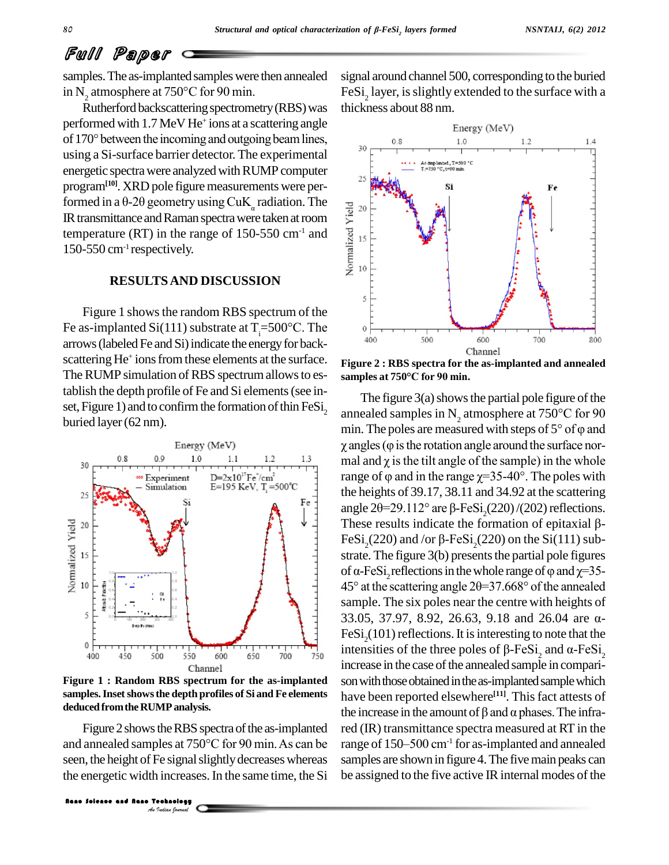## Full Paper

samples. The as-implanted samples were then annealed signal as Examples. The as-implanted samples were then annealed signal in N<sub>2</sub> atmosphere at 750°C for 90 min. FeSi<br>Rutherford backscattering spectrometry (RBS) was thick

performed with 1.7 MeV He<sup>+</sup> ions at a scattering angle Rutherford backscattering spectrometry (RBS) was<br>performed with 1.7 MeV He<sup>+</sup> ions at a scattering angle<br>of 170° between the incoming and outgoing beam lines, using a Si-surface barrier detector. The experimental energetic spectra were analyzed with RUMP computer program<sup>[10]</sup>. XRD pole figure measurements were perenergetic spectra were analyzed with RI<br>program<sup>[10]</sup>. XRD pole figure measuren<br>formed in a θ-2θ geometry using CuK<sub>α</sub> formed in a  $\theta$ -2 $\theta$  geometry using CuK<sub>a</sub> radiation. The<br>IR transmittance and Raman spectra were taken at room<br>temperature (RT) in the range of 150-550 cm<sup>-1</sup> and<br>150-550 cm<sup>-1</sup> respectively. IR transmittance and Raman spectra were taken at room temperature (RT) in the range of 150-550 cm<sup>-1</sup> and  $\frac{8}{8}$  15 150-550 cm-1 respectively.

### **RESULTSAND DISCUSSION**

Figure 1 shows the random RBS spectrum of the Figure 1 shows the random RBS spectrum of the<br>Fe as-implanted Si(111) substrate at  $T_1 = 500^{\circ}$ C. The<br>error (labeled Ee and Si) indicate the aperal for book arrows (labeled Fe and Si) indicate the energy for backscattering He<sup>+</sup> ions from these elements at the surface.  $F_i$ The RUMP simulation of RBS spectrum allows to es-<br>samples at 750°C for 90 min. tablish the depth profile of Fe and Si elements(see in set, Figure 1) and to confirm the formation of thin  $Fesi<sub>2</sub>$ <br>buried layer (62 nm). tablish the depth profile of Fe and Si elements (see in-<br>set, Figure 1) and to confirm the formation of thin FeSi<sub>2</sub> The figure 3(a) shows the partial pole figure of the<br>buried layer (62 nm).



**Figure 1 : Random RBS spectrum for the as-implanted samples.Insetshowsthe depth profiles of Si and Fe elements deducedfromthe RUMPanalysis.**

Seen, the height of Fe signal slightly decreases whereas samples are the height of Fe signal slightly decreases whereas samples are energetic width increases. In the same time, the Si be as Figure 2 shows the RBS spectra of the as-implanted the energetic width increases.In the same time, the Si

signal around channel 500, corresponding to the buried FeSi<sub>2</sub> layer, is slightly extended to the surface with a thickness about 88 nm.



**Figure 2 : RBS spectra for the as-implanted and annealed samples at <sup>750</sup>°C for <sup>90</sup> min.**

The figure 3(a) shows the partial pole figure of the<br>annealed samples in N<sub>2</sub> atmosphere at 750°C for 90<br>min. The poles are measured with steps of 5° of  $\varphi$  and annealed samples in N<sub>2</sub> atmosphere at 750°C for 90<br>min. The poles are measured with steps of 5° of  $\varphi$  and<br> $\gamma$  angles ( $\varphi$  is the rotation angle around the surface normin. The poles are measured with steps of  $5^{\circ}$  of  $\varphi$  and  $\chi$  angles ( $\varphi$  is the rotation angle around the surface normal and  $\chi$  is the tilt angle of the sample) in the whole  $\gamma$  angles ( $\varphi$  is the rotation angle around the surface northe heights of 39.17, 38.11 and 34.92 at the scattering range of  $\varphi$  and in the range  $\chi$ =35-40°. The poles with<br>the heights of 39.17, 38.11 and 34.92 at the scattering<br>angle 20=29.112° are  $\beta$ -FeSi<sub>2</sub>(220)/(202) reflections.<br>These results indicate the formation of epitaxi angle 20=29.112° are  $\beta$ -FeSi<sub>2</sub>(220)/(202) reflections.<br>These results indicate the formation of epitaxial  $\beta$ -FeSi<sub>2</sub>(220) and/or  $\beta$ -FeSi<sub>2</sub>(220) on the Si(111) sub-<br>strate. The figure 3(b) presents the partial pole FeSi<sub>2</sub>(220) and /or  $\beta$ -FeSi<sub>2</sub>(220) on the Si(111) substrate. The figure 3(b) presents the partial pole figures<br>of  $\alpha$ -FeSi<sub>2</sub> reflections in the whole range of  $\varphi$  and  $\chi$ =35-<br>45° at the scattering angle 2 $\theta$ =37. sample. The six poles near the centre with heights of 45° at the scattering angle  $2\theta = 37.668$ ° of the annealed<br>sample. The six poles near the centre with heights of<br>33.05, 37.97, 8.92, 26.63, 9.18 and 26.04 are  $\alpha$ -FeSi<sub>2</sub>(101) reflections. It is interesting to note that the intensities of the three poles of  $\beta$ -FeSi<sub>3</sub> and  $\alpha$ -FeSi<sub>3</sub> 33.05, 37.97, 8.92, 26.63, 9.18 and 26.04 are  $\alpha$ -FeSi<sub>2</sub>(101) reflections. It is interesting to note that the intensities of the three poles of  $\beta$ -FeSi<sub>2</sub> and  $\alpha$ -FeSi<sub>2</sub> increase in the case of the annealed sample in comparison with those obtained in the as-implanted sample which have been reported elsewhere<sup>[11]</sup>. This fact attests of son with those obtained in the as-implanted sample which<br>have been reported elsewhere<sup>[11]</sup>. This fact attests of<br>the increase in the amount of  $\beta$  and  $\alpha$  phases. The infrared (IR) transmittance spectra measured at RT in the the increase in the amount of  $\beta$  and  $\alpha$  phases. The infra-<br>red (IR) transmittance spectra measured at RT in the<br>range of 150–500 cm<sup>-1</sup> for as-implanted and annealed samples are shown in figure 4. The five main peaks can be assigned to the five active IR internal modes of the the increase in the amount of  $\beta$  and  $\alpha$  phases. The infra-<br>Figure 2 shows the RBS spectra of the as-implanted red (IR) transmittance spectra measured at RT in the<br>and annealed samples at 750°C for 90 min. As can be ra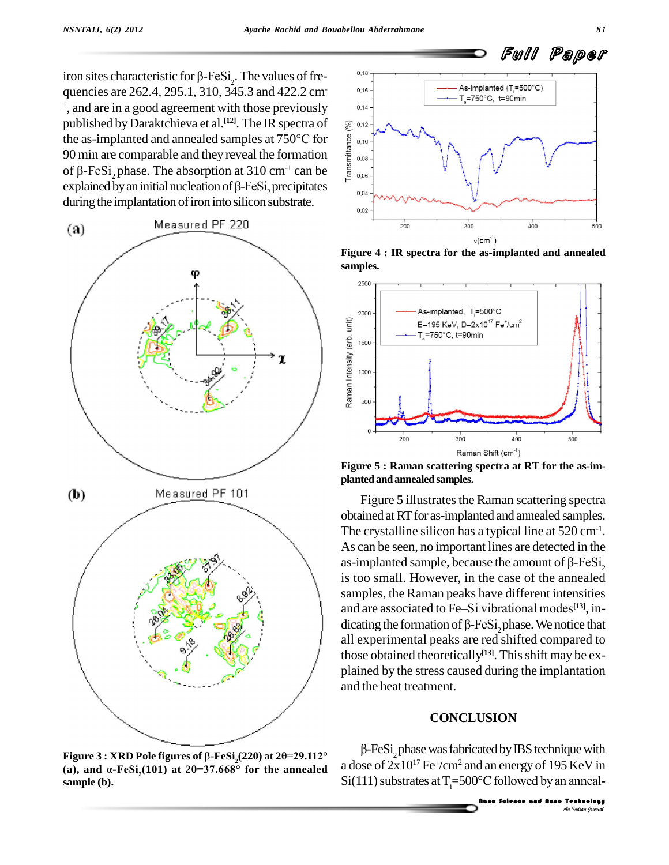iron sites characteristic for  $\beta$ -FeSi<sub>2</sub>. The values of frequencies are 262.4, 295.1, 310, 345.3 and 422.2 cm- <sup>1</sup>, and are in a good agreement with those previously  $\qquad 0.14$ published byDaraktchieva et al. **[12]**. The IR spectra of the as-implanted and annealed samples at <sup>750</sup>°C for the as-implanted and annealed samples at 750°C for<br>90 min are comparable and they reveal the formation<br>of  $\beta$ -FeSi<sub>2</sub> phase. The absorption at 310 cm<sup>-1</sup> can be the as-implanted and annealed samples at 750°C for<br>90 min are comparable and they reveal the formation<br>of  $\beta$ -FeSi<sub>2</sub> phase. The absorption at 310 cm<sup>-1</sup> can be<br>explained by an initial nucleation of  $\beta$ -FeSi<sub>2</sub> precipit of  $\beta$ -FeSi<sub>2</sub> phase. The absorption at 310 cm<sup>-1</sup> can be explained by an initial nucleation of  $\beta$ -FeSi<sub>2</sub> precipitates during the implantation of iron into silicon substrate.



**Figure**  $3:$  **XRD** Pole figures of  $\beta$ -FeSi<sub>i</sub>(220) at 2 $\theta$ =29.112° (a), and  $\alpha$ -FeSi<sub>,</sub>(101) at 2 $\theta$ =37.668° for the annealed **sample (b).**



**Figure 4 : IR spectra for the as-implanted and annealed samples.**



**Figure 5 : Raman scattering spectra at RT for the as-im planted andannealed samples.**

Figure 5 illustrates the Raman scattering spectra obtained at RT for as-implanted and annealed samples. The crystalline silicon has a typical line at 520 cm<sup>-1</sup>. As can be seen, no important lines are detected in the as-implanted sample, because the amount of  $\beta$ -FeSi<sub>2</sub> is too small. However, in the case of the annealed<br>samples, the Raman peaks have different intensities<br>and are associated to Fe–Si vibrational modes<sup>[13]</sup>, insamples, the Raman peaks have different intensities and are associated to Fe-Si vibrational modes<sup>[13]</sup>, indicating the formation of  $\beta$ -FeSi<sub>2</sub> phase. We notice that all experimental peaks are red shifted compared to those obtained theoretically **[13]**. Thisshift may be ex plained by the stress caused during the implantation and the heat treatment.

### **CONCLUSION**

 $\beta$ -FeSi<sub>2</sub> phase was fabricated by IBS technique with<br>a dose of  $2x10^{17}$  Fe<sup>+</sup>/cm<sup>2</sup> and an energy of 195 KeV in<br>Si(111) substrates at T<sub>i</sub>=500°C followed by an anneal-<br>**CO**<br>**Solence and flates Technology**  $\beta$ -FeSi<sub>-</sub>, phase was fabricated by IBS technique with a dose of  $2x10^{17}$  Fe<sup>+</sup>/cm<sup>2</sup> and an energy of 195 KeV in